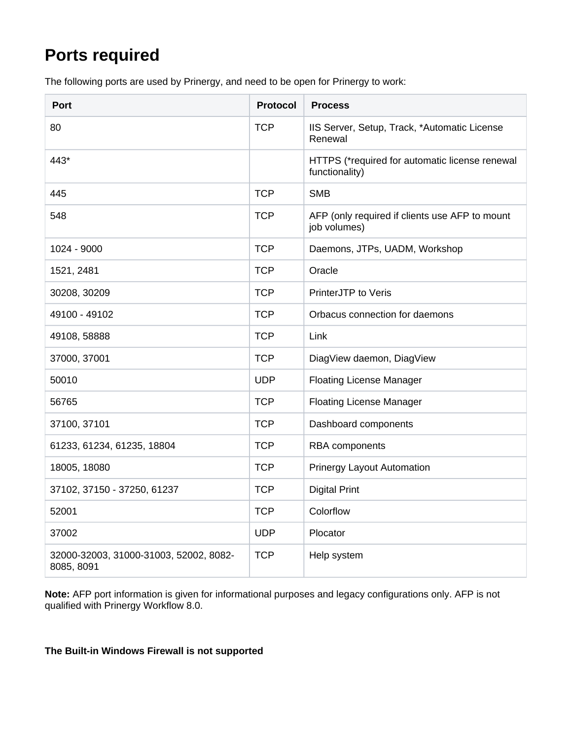## **Ports required**

The following ports are used by Prinergy, and need to be open for Prinergy to work:

| <b>Port</b>                                          | <b>Protocol</b> | <b>Process</b>                                                   |
|------------------------------------------------------|-----------------|------------------------------------------------------------------|
| 80                                                   | <b>TCP</b>      | IIS Server, Setup, Track, *Automatic License<br>Renewal          |
| 443*                                                 |                 | HTTPS (*required for automatic license renewal<br>functionality) |
| 445                                                  | <b>TCP</b>      | <b>SMB</b>                                                       |
| 548                                                  | <b>TCP</b>      | AFP (only required if clients use AFP to mount<br>job volumes)   |
| 1024 - 9000                                          | <b>TCP</b>      | Daemons, JTPs, UADM, Workshop                                    |
| 1521, 2481                                           | <b>TCP</b>      | Oracle                                                           |
| 30208, 30209                                         | <b>TCP</b>      | PrinterJTP to Veris                                              |
| 49100 - 49102                                        | <b>TCP</b>      | Orbacus connection for daemons                                   |
| 49108, 58888                                         | <b>TCP</b>      | Link                                                             |
| 37000, 37001                                         | <b>TCP</b>      | DiagView daemon, DiagView                                        |
| 50010                                                | <b>UDP</b>      | <b>Floating License Manager</b>                                  |
| 56765                                                | <b>TCP</b>      | <b>Floating License Manager</b>                                  |
| 37100, 37101                                         | <b>TCP</b>      | Dashboard components                                             |
| 61233, 61234, 61235, 18804                           | <b>TCP</b>      | <b>RBA</b> components                                            |
| 18005, 18080                                         | <b>TCP</b>      | <b>Prinergy Layout Automation</b>                                |
| 37102, 37150 - 37250, 61237                          | <b>TCP</b>      | <b>Digital Print</b>                                             |
| 52001                                                | <b>TCP</b>      | Colorflow                                                        |
| 37002                                                | <b>UDP</b>      | Plocator                                                         |
| 32000-32003, 31000-31003, 52002, 8082-<br>8085, 8091 | <b>TCP</b>      | Help system                                                      |

**Note:** AFP port information is given for informational purposes and legacy configurations only. AFP is not qualified with Prinergy Workflow 8.0.

**The Built-in Windows Firewall is not supported**